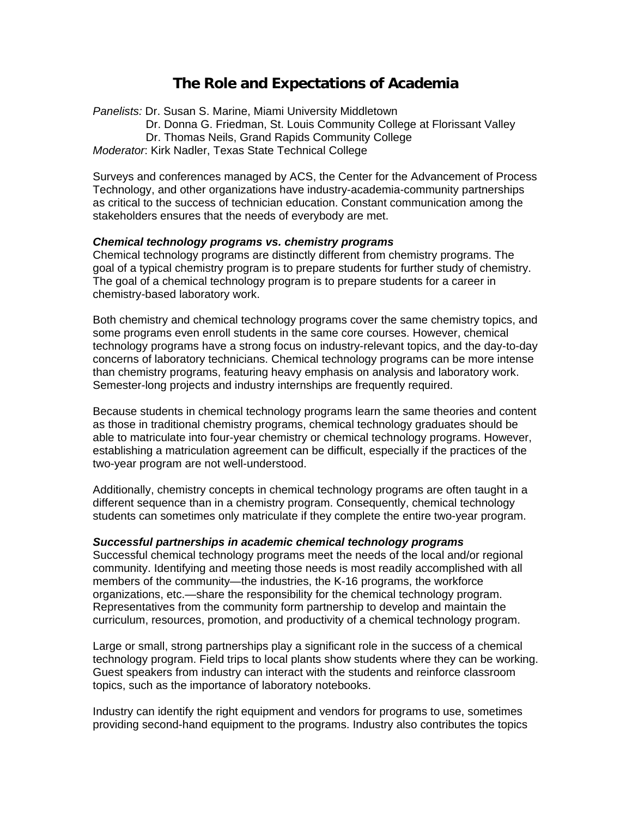# **The Role and Expectations of Academia**

*Panelists:* Dr. Susan S. Marine, Miami University Middletown Dr. Donna G. Friedman, St. Louis Community College at Florissant Valley Dr. Thomas Neils, Grand Rapids Community College *Moderator*: Kirk Nadler, Texas State Technical College

Surveys and conferences managed by ACS, the Center for the Advancement of Process Technology, and other organizations have industry-academia-community partnerships as critical to the success of technician education. Constant communication among the stakeholders ensures that the needs of everybody are met.

## *Chemical technology programs vs. chemistry programs*

Chemical technology programs are distinctly different from chemistry programs. The goal of a typical chemistry program is to prepare students for further study of chemistry. The goal of a chemical technology program is to prepare students for a career in chemistry-based laboratory work.

Both chemistry and chemical technology programs cover the same chemistry topics, and some programs even enroll students in the same core courses. However, chemical technology programs have a strong focus on industry-relevant topics, and the day-to-day concerns of laboratory technicians. Chemical technology programs can be more intense than chemistry programs, featuring heavy emphasis on analysis and laboratory work. Semester-long projects and industry internships are frequently required.

Because students in chemical technology programs learn the same theories and content as those in traditional chemistry programs, chemical technology graduates should be able to matriculate into four-year chemistry or chemical technology programs. However, establishing a matriculation agreement can be difficult, especially if the practices of the two-year program are not well-understood.

Additionally, chemistry concepts in chemical technology programs are often taught in a different sequence than in a chemistry program. Consequently, chemical technology students can sometimes only matriculate if they complete the entire two-year program.

#### *Successful partnerships in academic chemical technology programs*

Successful chemical technology programs meet the needs of the local and/or regional community. Identifying and meeting those needs is most readily accomplished with all members of the community—the industries, the K-16 programs, the workforce organizations, etc.—share the responsibility for the chemical technology program. Representatives from the community form partnership to develop and maintain the curriculum, resources, promotion, and productivity of a chemical technology program.

Large or small, strong partnerships play a significant role in the success of a chemical technology program. Field trips to local plants show students where they can be working. Guest speakers from industry can interact with the students and reinforce classroom topics, such as the importance of laboratory notebooks.

Industry can identify the right equipment and vendors for programs to use, sometimes providing second-hand equipment to the programs. Industry also contributes the topics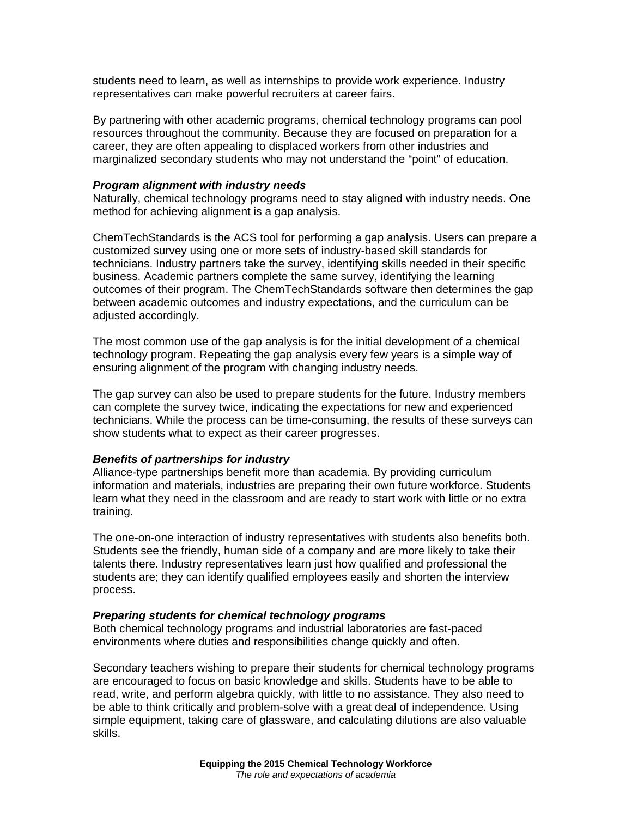students need to learn, as well as internships to provide work experience. Industry representatives can make powerful recruiters at career fairs.

By partnering with other academic programs, chemical technology programs can pool resources throughout the community. Because they are focused on preparation for a career, they are often appealing to displaced workers from other industries and marginalized secondary students who may not understand the "point" of education.

#### *Program alignment with industry needs*

Naturally, chemical technology programs need to stay aligned with industry needs. One method for achieving alignment is a gap analysis.

ChemTechStandards is the ACS tool for performing a gap analysis. Users can prepare a customized survey using one or more sets of industry-based skill standards for technicians. Industry partners take the survey, identifying skills needed in their specific business. Academic partners complete the same survey, identifying the learning outcomes of their program. The ChemTechStandards software then determines the gap between academic outcomes and industry expectations, and the curriculum can be adjusted accordingly.

The most common use of the gap analysis is for the initial development of a chemical technology program. Repeating the gap analysis every few years is a simple way of ensuring alignment of the program with changing industry needs.

The gap survey can also be used to prepare students for the future. Industry members can complete the survey twice, indicating the expectations for new and experienced technicians. While the process can be time-consuming, the results of these surveys can show students what to expect as their career progresses.

## *Benefits of partnerships for industry*

Alliance-type partnerships benefit more than academia. By providing curriculum information and materials, industries are preparing their own future workforce. Students learn what they need in the classroom and are ready to start work with little or no extra training.

The one-on-one interaction of industry representatives with students also benefits both. Students see the friendly, human side of a company and are more likely to take their talents there. Industry representatives learn just how qualified and professional the students are; they can identify qualified employees easily and shorten the interview process.

#### *Preparing students for chemical technology programs*

Both chemical technology programs and industrial laboratories are fast-paced environments where duties and responsibilities change quickly and often.

Secondary teachers wishing to prepare their students for chemical technology programs are encouraged to focus on basic knowledge and skills. Students have to be able to read, write, and perform algebra quickly, with little to no assistance. They also need to be able to think critically and problem-solve with a great deal of independence. Using simple equipment, taking care of glassware, and calculating dilutions are also valuable skills.